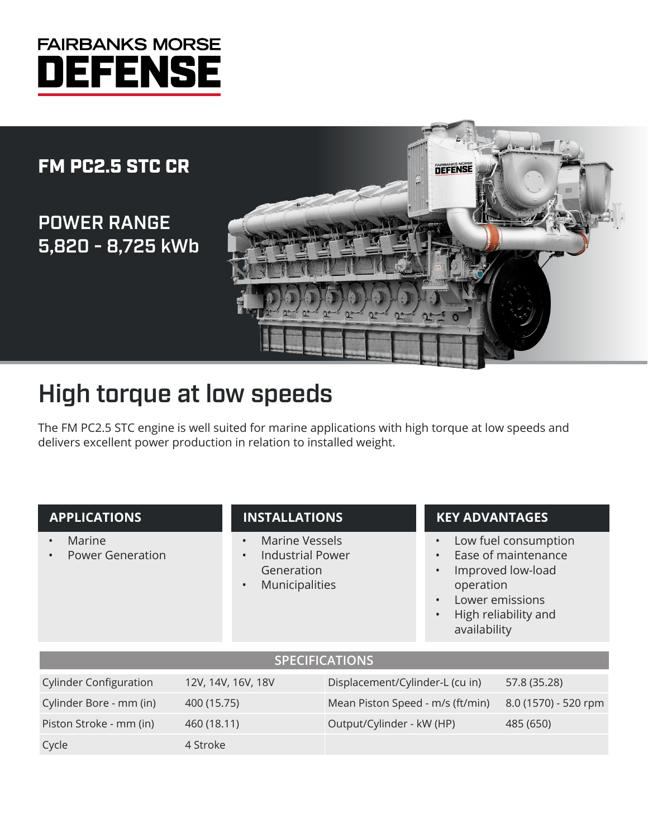# **FAIRBANKS MORSE JEFENS**

### FM PC2.5 STC CR

POWER RANGE 5,820 - 8,725 kWb



## High torque at low speeds

The FM PC2.5 STC engine is well suited for marine applications with high torque at low speeds and delivers excellent power production in relation to installed weight.

#### **APPLICATIONS**

- **Marine**
- Power Generation

#### **INSTALLATIONS**

- Marine Vessels
- Industrial Power **Generation**
- **Municipalities**

#### **KEY ADVANTAGES**

- Low fuel consumption
- Ease of maintenance
- Improved low-load operation
- Lower emissions
- High reliability and availability

#### **SPECIFICATIONS**

| <b>Cylinder Configuration</b> | 12V, 14V, 16V, 18V | Displacement/Cylinder-L (cu in)                       | 57.8 (35.28) |
|-------------------------------|--------------------|-------------------------------------------------------|--------------|
| Cylinder Bore - mm (in)       | 400 (15.75)        | Mean Piston Speed - m/s (ft/min) 8.0 (1570) - 520 rpm |              |
| Piston Stroke - mm (in)       | 460 (18.11)        | Output/Cylinder - kW (HP)                             | 485 (650)    |
| Cycle                         | 4 Stroke           |                                                       |              |